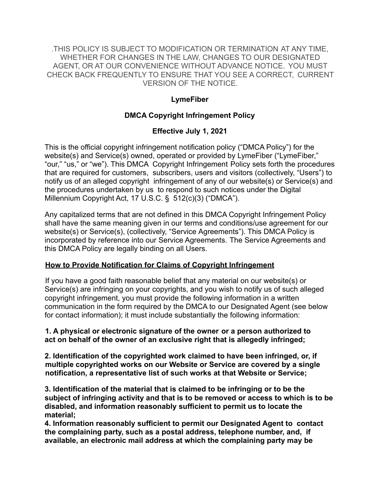.THIS POLICY IS SUBJECT TO MODIFICATION OR TERMINATION AT ANY TIME, WHETHER FOR CHANGES IN THE LAW, CHANGES TO OUR DESIGNATED AGENT, OR AT OUR CONVENIENCE WITHOUT ADVANCE NOTICE. YOU MUST CHECK BACK FREQUENTLY TO ENSURE THAT YOU SEE A CORRECT, CURRENT VERSION OF THE NOTICE.

### **LymeFiber**

## **DMCA Copyright Infringement Policy**

## **Effective July 1, 2021**

This is the official copyright infringement notification policy ("DMCA Policy") for the website(s) and Service(s) owned, operated or provided by LymeFiber ("LymeFiber," "our," "us," or "we"). This DMCA Copyright Infringement Policy sets forth the procedures that are required for customers, subscribers, users and visitors (collectively, "Users") to notify us of an alleged copyright infringement of any of our website(s) or Service(s) and the procedures undertaken by us to respond to such notices under the Digital Millennium Copyright Act, 17 U.S.C. § 512(c)(3) ("DMCA").

Any capitalized terms that are not defined in this DMCA Copyright Infringement Policy shall have the same meaning given in our terms and conditions/use agreement for our website(s) or Service(s), (collectively, "Service Agreements"). This DMCA Policy is incorporated by reference into our Service Agreements. The Service Agreements and this DMCA Policy are legally binding on all Users.

### **How to Provide Notification for Claims of Copyright Infringement**

If you have a good faith reasonable belief that any material on our website(s) or Service(s) are infringing on your copyrights, and you wish to notify us of such alleged copyright infringement, you must provide the following information in a written communication in the form required by the DMCA to our Designated Agent (see below for contact information); it must include substantially the following information:

**1. A physical or electronic signature of the owner or a person authorized to act on behalf of the owner of an exclusive right that is allegedly infringed;**

**2. Identification of the copyrighted work claimed to have been infringed, or, if multiple copyrighted works on our Website or Service are covered by a single notification, a representative list of such works at that Website or Service;**

**3. Identification of the material that is claimed to be infringing or to be the subject of infringing activity and that is to be removed or access to which is to be disabled, and information reasonably sufficient to permit us to locate the material;**

**4. Information reasonably sufficient to permit our Designated Agent to contact the complaining party, such as a postal address, telephone number, and, if available, an electronic mail address at which the complaining party may be**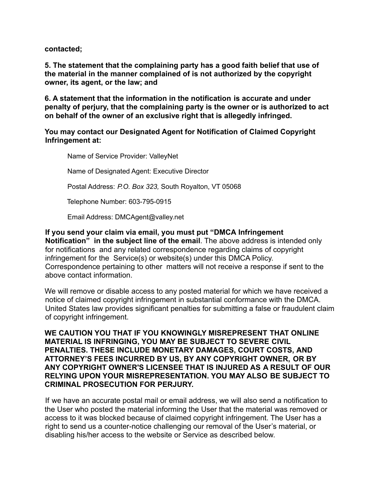**contacted;**

**5. The statement that the complaining party has a good faith belief that use of the material in the manner complained of is not authorized by the copyright owner, its agent, or the law; and**

**6. A statement that the information in the notification is accurate and under penalty of perjury, that the complaining party is the owner or is authorized to act on behalf of the owner of an exclusive right that is allegedly infringed.**

#### **You may contact our Designated Agent for Notification of Claimed Copyright Infringement at:**

Name of Service Provider: ValleyNet

Name of Designated Agent: Executive Director

Postal Address: *P.O. Box 323,* South Royalton, VT 05068

Telephone Number: 603-795-0915

Email Address: DMCAgent@valley.net

**If you send your claim via email, you must put "DMCA Infringement Notification" in the subject line of the email**. The above address is intended only for notifications and any related correspondence regarding claims of copyright infringement for the Service(s) or website(s) under this DMCA Policy. Correspondence pertaining to other matters will not receive a response if sent to the above contact information.

We will remove or disable access to any posted material for which we have received a notice of claimed copyright infringement in substantial conformance with the DMCA. United States law provides significant penalties for submitting a false or fraudulent claim of copyright infringement.

**WE CAUTION YOU THAT IF YOU KNOWINGLY MISREPRESENT THAT ONLINE MATERIAL IS INFRINGING, YOU MAY BE SUBJECT TO SEVERE CIVIL PENALTIES. THESE INCLUDE MONETARY DAMAGES, COURT COSTS, AND ATTORNEY'S FEES INCURRED BY US, BY ANY COPYRIGHT OWNER, OR BY ANY COPYRIGHT OWNER'S LICENSEE THAT IS INJURED AS A RESULT OF OUR RELYING UPON YOUR MISREPRESENTATION. YOU MAY ALSO BE SUBJECT TO CRIMINAL PROSECUTION FOR PERJURY.**

If we have an accurate postal mail or email address, we will also send a notification to the User who posted the material informing the User that the material was removed or access to it was blocked because of claimed copyright infringement. The User has a right to send us a counter-notice challenging our removal of the User's material, or disabling his/her access to the website or Service as described below.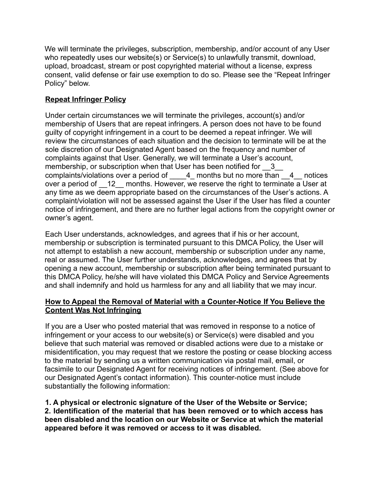We will terminate the privileges, subscription, membership, and/or account of any User who repeatedly uses our website(s) or Service(s) to unlawfully transmit, download, upload, broadcast, stream or post copyrighted material without a license, express consent, valid defense or fair use exemption to do so. Please see the "Repeat Infringer Policy" below.

# **Repeat Infringer Policy**

Under certain circumstances we will terminate the privileges, account(s) and/or membership of Users that are repeat infringers. A person does not have to be found guilty of copyright infringement in a court to be deemed a repeat infringer. We will review the circumstances of each situation and the decision to terminate will be at the sole discretion of our Designated Agent based on the frequency and number of complaints against that User. Generally, we will terminate a User's account, membership, or subscription when that User has been notified for 3 complaints/violations over a period of  $\qquad$  4 months but no more than  $\qquad$  4 notices over a period of 12 months. However, we reserve the right to terminate a User at any time as we deem appropriate based on the circumstances of the User's actions. A complaint/violation will not be assessed against the User if the User has filed a counter notice of infringement, and there are no further legal actions from the copyright owner or owner's agent.

Each User understands, acknowledges, and agrees that if his or her account, membership or subscription is terminated pursuant to this DMCA Policy, the User will not attempt to establish a new account, membership or subscription under any name, real or assumed. The User further understands, acknowledges, and agrees that by opening a new account, membership or subscription after being terminated pursuant to this DMCA Policy, he/she will have violated this DMCA Policy and Service Agreements and shall indemnify and hold us harmless for any and all liability that we may incur.

### **How to Appeal the Removal of Material with a Counter-Notice If You Believe the Content Was Not Infringing**

If you are a User who posted material that was removed in response to a notice of infringement or your access to our website(s) or Service(s) were disabled and you believe that such material was removed or disabled actions were due to a mistake or misidentification, you may request that we restore the posting or cease blocking access to the material by sending us a written communication via postal mail, email, or facsimile to our Designated Agent for receiving notices of infringement. (See above for our Designated Agent's contact information). This counter-notice must include substantially the following information:

**1. A physical or electronic signature of the User of the Website or Service; 2. Identification of the material that has been removed or to which access has been disabled and the location on our Website or Service at which the material appeared before it was removed or access to it was disabled.**